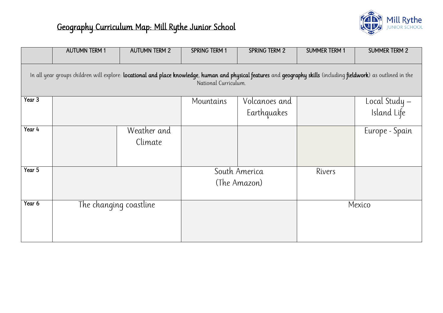|                                                                                                                                                                                             | <b>AUTUMN TERM 1</b> | <b>AUTUMN TERM 2</b>   | <b>SPRING TERM 1</b> | <b>SPRING TERM 2</b>          | <b>SUMMER TERM 1</b> | <b>SUMMER TERM 2</b>         |
|---------------------------------------------------------------------------------------------------------------------------------------------------------------------------------------------|----------------------|------------------------|----------------------|-------------------------------|----------------------|------------------------------|
| In all year groups children will explore: locational and place knowledge, human and physical features and geography skills (including fieldwork) as outlined in the<br>National Curriculum. |                      |                        |                      |                               |                      |                              |
| Year $3$                                                                                                                                                                                    |                      |                        | Mountains            | Volcanoes and<br>Earthquakes  |                      | Local Study –<br>Island Life |
| Year 4                                                                                                                                                                                      |                      | Weather and<br>Climate |                      |                               |                      | Europe - Spain               |
| Year 5                                                                                                                                                                                      |                      |                        |                      | South America<br>(The Amazon) | Rivers               |                              |
| Year 6                                                                                                                                                                                      |                      | The changing coastline |                      |                               |                      | Mexico                       |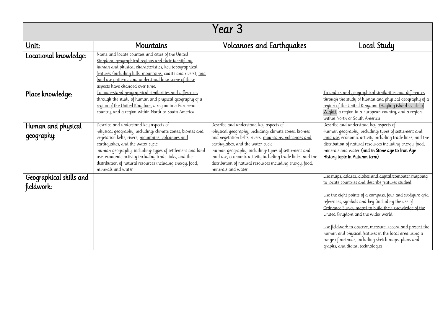|                                       |                                                                                                                                                                                                                                                                                                                                                              | Year 3                                                                                                                                                                                                                                                                                                                                                       |                                                                                                                                                                                                                                                                                                                                                                                                                                                                                                                                                |
|---------------------------------------|--------------------------------------------------------------------------------------------------------------------------------------------------------------------------------------------------------------------------------------------------------------------------------------------------------------------------------------------------------------|--------------------------------------------------------------------------------------------------------------------------------------------------------------------------------------------------------------------------------------------------------------------------------------------------------------------------------------------------------------|------------------------------------------------------------------------------------------------------------------------------------------------------------------------------------------------------------------------------------------------------------------------------------------------------------------------------------------------------------------------------------------------------------------------------------------------------------------------------------------------------------------------------------------------|
| Unit:                                 | <b>Mountains</b>                                                                                                                                                                                                                                                                                                                                             | Volcanoes and Earthquakes                                                                                                                                                                                                                                                                                                                                    | Local Study                                                                                                                                                                                                                                                                                                                                                                                                                                                                                                                                    |
| Locational knowledge:                 | Name and locate counties and cities of the United<br>Kingdom, geographical regions and their identifying<br>human and physical characteristics, key topographical<br>features (including hills, mountains, coasts and rivers), and<br>land-use patterns, and understand how some of these<br>aspects have changed over time.                                 |                                                                                                                                                                                                                                                                                                                                                              |                                                                                                                                                                                                                                                                                                                                                                                                                                                                                                                                                |
| Place knowledge:                      | To understand geographical similarities and differences<br>through the study of human and physical geography of a<br>region of the United Kingdom, a region in a European<br>country, and a region within North or South America                                                                                                                             |                                                                                                                                                                                                                                                                                                                                                              | To understand geographical similarities and differences<br>through the study of human and physical geography of a<br>region of the United Kingdom (Hayling island vs Isle of<br>Wight), a region in a European country, and a region<br>within North or South America                                                                                                                                                                                                                                                                          |
| Human and physical                    | Describe and understand key aspects of:                                                                                                                                                                                                                                                                                                                      | Describe and understand key aspects of:                                                                                                                                                                                                                                                                                                                      | Describe and understand key aspects of:                                                                                                                                                                                                                                                                                                                                                                                                                                                                                                        |
| geography:                            | -physical geography, including: climate zones, biomes and<br>vegetation belts, rivers, mountains, volcanoes and<br>earthquakes, and the water cycle<br>-human qeoqraphy, including: types of settlement and land<br>use, economic activity including trade links, and the<br>distribution of natural resources including energy, food,<br>minerals and water | -physical geography, including: climate zones, biomes<br>and vegetation belts, rivers, mountains, volcanoes and<br>earthquakes, and the water cycle<br>-human qeoqraphy, including: types of settlement and<br>land use, economic activity including trade links, and the<br>distribution of natural resources including energy, food,<br>minerals and water | -human geography, including types of settlement and<br>land use, economic activity including trade links, and the<br>distribution of natural resources including energy, food,<br>minerals and water (and in Stone age to Iron Age<br>History topic in Autumn term)                                                                                                                                                                                                                                                                            |
| Geographical skills and<br>fieldwork: |                                                                                                                                                                                                                                                                                                                                                              |                                                                                                                                                                                                                                                                                                                                                              | Use maps, atlases, globes and digital/computer mapping<br>to locate countries and describe features studied<br>Use the eight points of a compass, four and six-figure grid<br>references, symbols and key (including the use of<br>Ordnance Survey maps) to build their knowledge of the<br>United Kingdom and the wider world<br>Use fieldwork to observe, measure, record and present the<br>human and physical features in the local area using a<br>range of methods, including sketch maps, plans and<br>graphs, and digital technologies |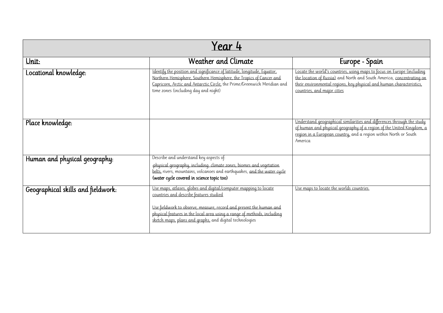| Year 4                             |                                                                                                                                                                                                                                                                                                                          |                                                                                                                                                                                                                                                        |  |
|------------------------------------|--------------------------------------------------------------------------------------------------------------------------------------------------------------------------------------------------------------------------------------------------------------------------------------------------------------------------|--------------------------------------------------------------------------------------------------------------------------------------------------------------------------------------------------------------------------------------------------------|--|
| Unit:                              | Weather and Climate                                                                                                                                                                                                                                                                                                      | Europe - Spain                                                                                                                                                                                                                                         |  |
| Locational knowledge:              | Identify the position and significance of latitude, longitude, Equator,<br>Northern Hemisphere, Southern Hemisphere, the Tropics of Cancer and<br>Capricorn, Arctic and Antarctic Circle, the Prime/Greenwich Meridian and<br>time zones (including day and night)                                                       | Locate the world's countries, using maps to focus on Europe (including<br>the location of Russia) and North and South America, concentrating on<br>their environmental regions, key physical and human characteristics,<br>countries, and major cities |  |
| Place knowledge:                   |                                                                                                                                                                                                                                                                                                                          | Understand geographical similarities and differences through the study<br>of human and physical geography of a region of the United Kingdom, a<br>region in a European country, and a region within North or South<br>America                          |  |
| Human and physical geography:      | Describe and understand key aspects of:<br>-physical geography, including: climate zones, biomes and vegetation<br>belts, rivers, mountains, volcanoes and earthquakes, and the water cycle<br>(water cycle covered in science topic too)                                                                                |                                                                                                                                                                                                                                                        |  |
| Geographical skills and fieldwork: | Use maps, atlases, globes and digital/computer mapping to locate<br>countries and describe features studied<br>Use fieldwork to observe, measure, record and present the human and<br>physical features in the local area using a range of methods, including<br>sketch maps, plans and graphs, and digital technologies | Use maps to locate the worlds countries.                                                                                                                                                                                                               |  |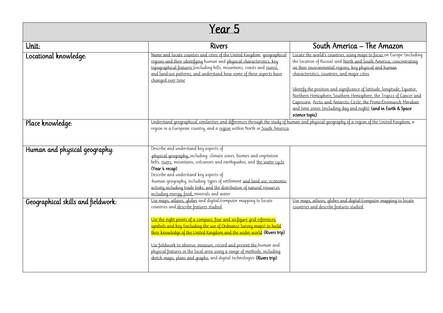## Year 5

| <u>Unit:</u>                       | <b>Rivers</b>                                                                                                                                                                                                                                                                                                                                                                                                                                                                                                                                                        | South America – The Amazon                                                                                                                                                                                                                                                                                                                                                                                                                                                                                                                                           |
|------------------------------------|----------------------------------------------------------------------------------------------------------------------------------------------------------------------------------------------------------------------------------------------------------------------------------------------------------------------------------------------------------------------------------------------------------------------------------------------------------------------------------------------------------------------------------------------------------------------|----------------------------------------------------------------------------------------------------------------------------------------------------------------------------------------------------------------------------------------------------------------------------------------------------------------------------------------------------------------------------------------------------------------------------------------------------------------------------------------------------------------------------------------------------------------------|
| Locational knowledge:              | Name and locate counties and cities of the United Kingdom, geographical<br>regions and their identifying human and physical characteristics, key<br>topographical features (including hills, mountains, coasts and rivers),<br>and land-use patterns, and understand how some of these aspects have<br>changed over time                                                                                                                                                                                                                                             | Locate the world's countries, using maps to focus on Europe (including<br>the location of Russia) and North and South America, concentrating<br>on their environmental regions, key physical and human<br>characteristics, countries, and major cities<br>Identify the position and significance of latitude, longitude, Equator,<br>Northern Hemisphere, Southern Hemisphere, the Tropics of Cancer and<br>Capricorn, Arctic and Antarctic Circle, the Prime/Greenwich Meridian<br>and time zones (including day and night) (and in Earth & Space<br>science topic) |
| Place knowledge:                   | Understand geographical similarities and differences through the study of human and physical geography of a region of the United Kingdom, a<br>region in a European country, and a region within North or South America                                                                                                                                                                                                                                                                                                                                              |                                                                                                                                                                                                                                                                                                                                                                                                                                                                                                                                                                      |
| Human and physical geography:      | Describe and understand key aspects of:<br>-physical geography, including: climate zones, biomes and vegetation<br>belts, rivers, mountains, volcanoes and earthquakes, and the water cycle<br>(Year 4 recap)<br>Describe and understand key aspects of:<br>-human geography, including: types of settlement and land use, economic<br>activity including trade links, and the distribution of natural resources<br>including energy, food, minerals and water                                                                                                       |                                                                                                                                                                                                                                                                                                                                                                                                                                                                                                                                                                      |
| Geographical skills and fieldwork: | Use maps, atlases, globes and digital/computer mapping to locate<br>countries and describe features studied<br>Use the eight points of a compass, four and six-figure grid references,<br>symbols and key (including the use of Ordnance Survey maps) to build<br>their knowledge of the United Kingdom and the wider world (Rivers trip)<br>Use fieldwork to observe, measure, record and present the human and<br>physical features in the local area using a range of methods, including<br>sketch maps, plans and graphs, and digital technologies (Rivers trip) | Use maps, atlases, globes and digital/computer mapping to locate<br>countries and describe features studied                                                                                                                                                                                                                                                                                                                                                                                                                                                          |